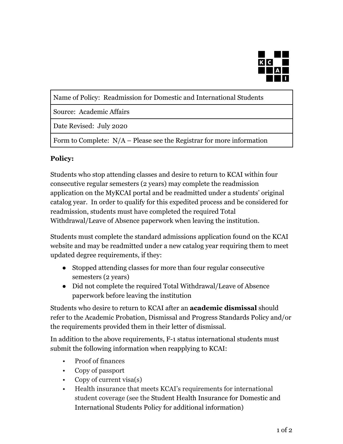

Name of Policy: Readmission for Domestic and International Students

Source: Academic Affairs

Date Revised: July 2020

Form to Complete: N/A – Please see the Registrar for more information

## **Policy:**

Students who stop attending classes and desire to return to KCAI within four consecutive regular semesters (2 years) may complete the readmission application on the MyKCAI portal and be readmitted under a students' original catalog year. In order to qualify for this expedited process and be considered for readmission, students must have completed the required Total Withdrawal/Leave of Absence paperwork when leaving the institution.

Students must complete the standard admissions application found on the KCAI website and may be readmitted under a new catalog year requiring them to meet updated degree requirements, if they:

- Stopped attending classes for more than four regular consecutive semesters (2 years)
- Did not complete the required Total Withdrawal/Leave of Absence paperwork before leaving the institution

Students who desire to return to KCAI after an **academic dismissal** should refer to the Academic Probation, Dismissal and Progress Standards Policy and/or the requirements provided them in their letter of dismissal.

In addition to the above requirements, F-1 status international students must submit the following information when reapplying to KCAI:

- Proof of finances
- Copy of passport
- Copy of current visa(s)
- Health insurance that meets KCAI's requirements for international student coverage (see the Student Health Insurance for Domestic and International Students Policy for additional information)